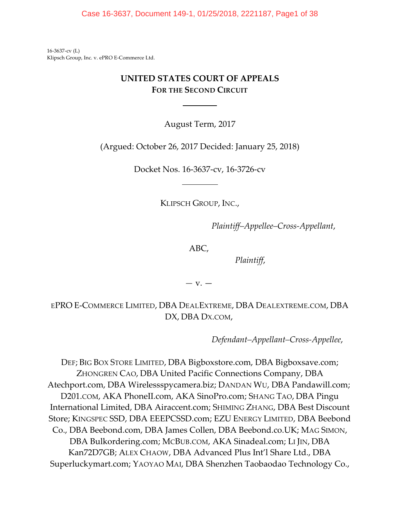Case 16-3637, Document 149-1, 01/25/2018, 2221187, Page1 of 38

16-3637-cv (L) Klipsch Group, Inc. v. ePRO E-Commerce Ltd.

# **UNITED STATES COURT OF APPEALS FOR THE SECOND CIRCUIT**

 $\overline{a}$ 

 $\overline{a}$ 

August Term, 2017

(Argued: October 26, 2017 Decided: January 25, 2018)

Docket Nos. 16-3637-cv, 16-3726-cv

KLIPSCH GROUP, INC.,

*Plaintiff–Appellee–Cross-Appellant*,

ABC,

*Plaintiff*,

*—* v. —

EPRO E-COMMERCE LIMITED, DBA DEALEXTREME, DBA DEALEXTREME.COM, DBA DX, DBA DX.COM,

*Defendant–Appellant–Cross-Appellee*,

DEF; BIG BOX STORE LIMITED, DBA Bigboxstore.com, DBA Bigboxsave.com; ZHONGREN CAO, DBA United Pacific Connections Company, DBA Atechport.com, DBA Wirelessspycamera.biz; DANDAN WU, DBA Pandawill.com; D201.COM, AKA PhoneII.com, AKA SinoPro.com; SHANG TAO, DBA Pingu International Limited, DBA Airaccent.com; SHIMING ZHANG, DBA Best Discount Store; KINGSPEC SSD, DBA EEEPCSSD.com; EZU ENERGY LIMITED, DBA Beebond Co., DBA Beebond.com, DBA James Collen, DBA Beebond.co.UK; MAG SIMON, DBA Bulkordering.com; MCBUB.COM, AKA Sinadeal.com; LI JIN, DBA Kan72D7GB; ALEX CHAOW, DBA Advanced Plus Int'l Share Ltd., DBA Superluckymart.com; YAOYAO MAI, DBA Shenzhen Taobaodao Technology Co.,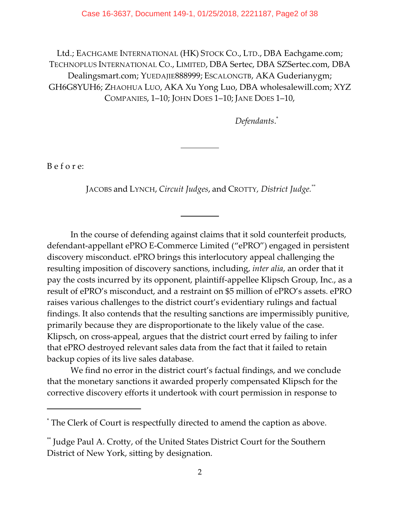Ltd.; EACHGAME INTERNATIONAL (HK) STOCK CO., LTD., DBA Eachgame.com; TECHNOPLUS INTERNATIONAL CO., LIMITED, DBA Sertec, DBA SZSertec.com, DBA Dealingsmart.com; YUEDAJIE888999; ESCALONGTB, AKA Guderianygm; GH6G8YUH6; ZHAOHUA LUO, AKA Xu Yong Luo, DBA wholesalewill.com; XYZ COMPANIES, 1–10; JOHN DOES 1–10; JANE DOES 1–10,

*Defendants*. \*

B e f o r e:

JACOBS and LYNCH, *Circuit Judges*, and CROTTY*, District Judge.\*\**

 $\overline{a}$ 

l

In the course of defending against claims that it sold counterfeit products, defendant-appellant ePRO E-Commerce Limited ("ePRO") engaged in persistent discovery misconduct. ePRO brings this interlocutory appeal challenging the resulting imposition of discovery sanctions, including, *inter alia*, an order that it pay the costs incurred by its opponent, plaintiff-appellee Klipsch Group, Inc., as a result of ePRO's misconduct, and a restraint on \$5 million of ePRO's assets. ePRO raises various challenges to the district court's evidentiary rulings and factual findings. It also contends that the resulting sanctions are impermissibly punitive, primarily because they are disproportionate to the likely value of the case. Klipsch, on cross-appeal, argues that the district court erred by failing to infer that ePRO destroyed relevant sales data from the fact that it failed to retain backup copies of its live sales database.

We find no error in the district court's factual findings, and we conclude that the monetary sanctions it awarded properly compensated Klipsch for the corrective discovery efforts it undertook with court permission in response to

The Clerk of Court is respectfully directed to amend the caption as above. \*

Judge Paul A. Crotty, of the United States District Court for the Southern \*\* District of New York, sitting by designation.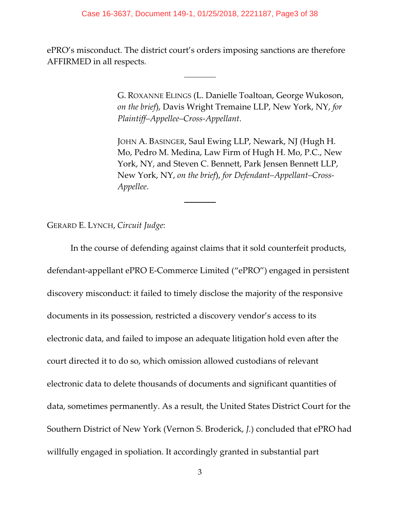#### Case 16-3637, Document 149-1, 01/25/2018, 2221187, Page3 of 38

ePRO's misconduct. The district court's orders imposing sanctions are therefore AFFIRMED in all respects*.*

 $\overline{a}$ 

 $\overline{a}$ 

G. ROXANNE ELINGS (L. Danielle Toaltoan, George Wukoson, *on the brief*), Davis Wright Tremaine LLP, New York, NY, *for Plaintiff–Appellee–Cross-Appellant*.

JOHN A. BASINGER, Saul Ewing LLP, Newark, NJ (Hugh H. Mo, Pedro M. Medina, Law Firm of Hugh H. Mo, P.C., New York, NY, and Steven C. Bennett, Park Jensen Bennett LLP, New York, NY, *on the brief*), *for Defendant–Appellant–Cross-Appellee*.

GERARD E. LYNCH, *Circuit Judge*:

In the course of defending against claims that it sold counterfeit products, defendant-appellant ePRO E-Commerce Limited ("ePRO") engaged in persistent discovery misconduct: it failed to timely disclose the majority of the responsive documents in its possession, restricted a discovery vendor's access to its electronic data, and failed to impose an adequate litigation hold even after the court directed it to do so, which omission allowed custodians of relevant electronic data to delete thousands of documents and significant quantities of data, sometimes permanently. As a result, the United States District Court for the Southern District of New York (Vernon S. Broderick, *J.*) concluded that ePRO had willfully engaged in spoliation. It accordingly granted in substantial part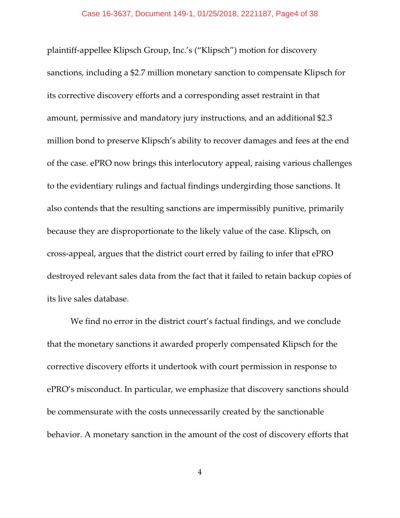plaintiff-appellee Klipsch Group, Inc.'s ("Klipsch") motion for discovery sanctions, including a \$2.7 million monetary sanction to compensate Klipsch for its corrective discovery efforts and a corresponding asset restraint in that amount, permissive and mandatory jury instructions, and an additional \$2.3 million bond to preserve Klipsch's ability to recover damages and fees at the end of the case. ePRO now brings this interlocutory appeal, raising various challenges to the evidentiary rulings and factual findings undergirding those sanctions. It also contends that the resulting sanctions are impermissibly punitive, primarily because they are disproportionate to the likely value of the case. Klipsch, on cross-appeal, argues that the district court erred by failing to infer that ePRO destroyed relevant sales data from the fact that it failed to retain backup copies of its live sales database.

We find no error in the district court's factual findings, and we conclude that the monetary sanctions it awarded properly compensated Klipsch for the corrective discovery efforts it undertook with court permission in response to ePRO's misconduct. In particular, we emphasize that discovery sanctions should be commensurate with the costs unnecessarily created by the sanctionable behavior. A monetary sanction in the amount of the cost of discovery efforts that

4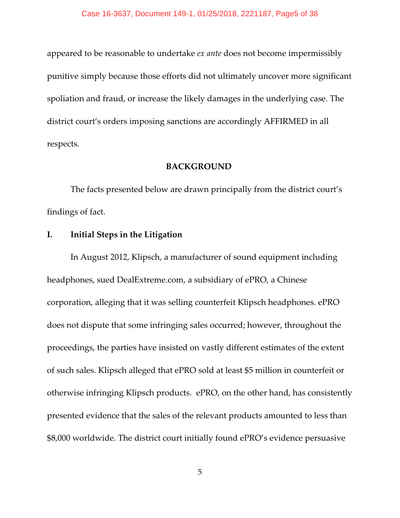appeared to be reasonable to undertake *ex ante* does not become impermissibly punitive simply because those efforts did not ultimately uncover more significant spoliation and fraud, or increase the likely damages in the underlying case. The district court's orders imposing sanctions are accordingly AFFIRMED in all respects.

### **BACKGROUND**

The facts presented below are drawn principally from the district court's findings of fact.

# **I. Initial Steps in the Litigation**

In August 2012, Klipsch, a manufacturer of sound equipment including headphones, sued DealExtreme.com, a subsidiary of ePRO, a Chinese corporation, alleging that it was selling counterfeit Klipsch headphones. ePRO does not dispute that some infringing sales occurred; however, throughout the proceedings, the parties have insisted on vastly different estimates of the extent of such sales. Klipsch alleged that ePRO sold at least \$5 million in counterfeit or otherwise infringing Klipsch products. ePRO, on the other hand, has consistently presented evidence that the sales of the relevant products amounted to less than \$8,000 worldwide. The district court initially found ePRO's evidence persuasive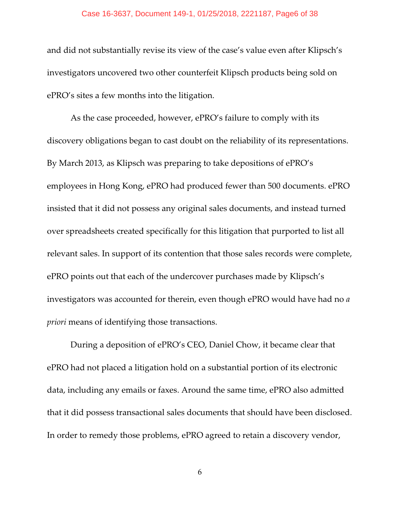#### Case 16-3637, Document 149-1, 01/25/2018, 2221187, Page6 of 38

and did not substantially revise its view of the case's value even after Klipsch's investigators uncovered two other counterfeit Klipsch products being sold on ePRO's sites a few months into the litigation.

As the case proceeded, however, ePRO's failure to comply with its discovery obligations began to cast doubt on the reliability of its representations. By March 2013, as Klipsch was preparing to take depositions of ePRO's employees in Hong Kong, ePRO had produced fewer than 500 documents. ePRO insisted that it did not possess any original sales documents, and instead turned over spreadsheets created specifically for this litigation that purported to list all relevant sales. In support of its contention that those sales records were complete, ePRO points out that each of the undercover purchases made by Klipsch's investigators was accounted for therein, even though ePRO would have had no *a priori* means of identifying those transactions.

During a deposition of ePRO's CEO, Daniel Chow, it became clear that ePRO had not placed a litigation hold on a substantial portion of its electronic data, including any emails or faxes. Around the same time, ePRO also admitted that it did possess transactional sales documents that should have been disclosed. In order to remedy those problems, ePRO agreed to retain a discovery vendor,

6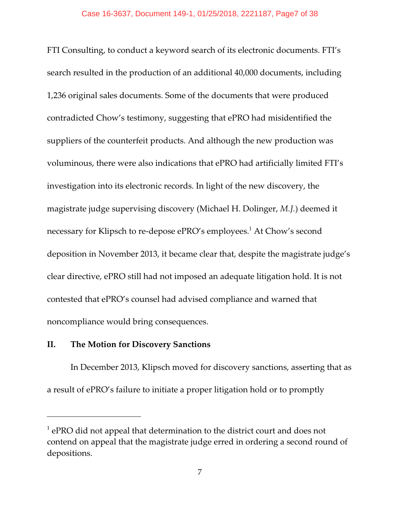FTI Consulting, to conduct a keyword search of its electronic documents. FTI's search resulted in the production of an additional 40,000 documents, including 1,236 original sales documents. Some of the documents that were produced contradicted Chow's testimony, suggesting that ePRO had misidentified the suppliers of the counterfeit products. And although the new production was voluminous, there were also indications that ePRO had artificially limited FTI's investigation into its electronic records. In light of the new discovery, the magistrate judge supervising discovery (Michael H. Dolinger, *M.J.*) deemed it necessary for Klipsch to re-depose ePRO's employees.<sup>1</sup> At Chow's second deposition in November 2013, it became clear that, despite the magistrate judge's clear directive, ePRO still had not imposed an adequate litigation hold. It is not contested that ePRO's counsel had advised compliance and warned that noncompliance would bring consequences.

## **II. The Motion for Discovery Sanctions**

In December 2013, Klipsch moved for discovery sanctions, asserting that as a result of ePRO's failure to initiate a proper litigation hold or to promptly

 $^{-1}$  ePRO did not appeal that determination to the district court and does not contend on appeal that the magistrate judge erred in ordering a second round of depositions.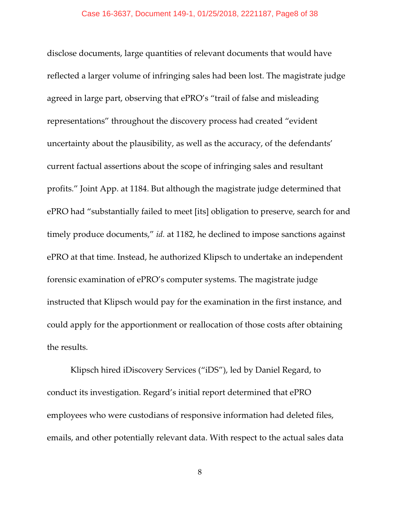disclose documents, large quantities of relevant documents that would have reflected a larger volume of infringing sales had been lost. The magistrate judge agreed in large part, observing that ePRO's "trail of false and misleading representations" throughout the discovery process had created "evident uncertainty about the plausibility, as well as the accuracy, of the defendants' current factual assertions about the scope of infringing sales and resultant profits." Joint App. at 1184. But although the magistrate judge determined that ePRO had "substantially failed to meet [its] obligation to preserve, search for and timely produce documents," *id.* at 1182, he declined to impose sanctions against ePRO at that time. Instead, he authorized Klipsch to undertake an independent forensic examination of ePRO's computer systems. The magistrate judge instructed that Klipsch would pay for the examination in the first instance, and could apply for the apportionment or reallocation of those costs after obtaining the results.

Klipsch hired iDiscovery Services ("iDS"), led by Daniel Regard, to conduct its investigation. Regard's initial report determined that ePRO employees who were custodians of responsive information had deleted files, emails, and other potentially relevant data. With respect to the actual sales data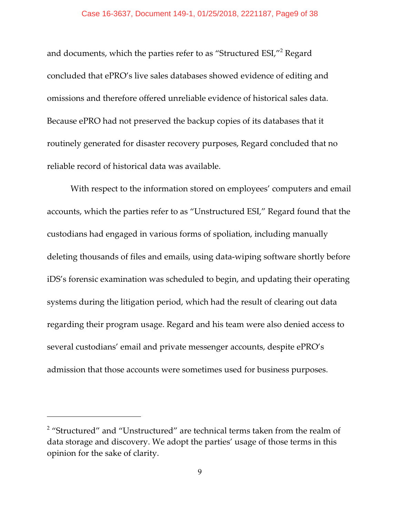#### Case 16-3637, Document 149-1, 01/25/2018, 2221187, Page9 of 38

and documents, which the parties refer to as "Structured ESI,"<sup>2</sup> Regard concluded that ePRO's live sales databases showed evidence of editing and omissions and therefore offered unreliable evidence of historical sales data. Because ePRO had not preserved the backup copies of its databases that it routinely generated for disaster recovery purposes, Regard concluded that no reliable record of historical data was available.

With respect to the information stored on employees' computers and email accounts, which the parties refer to as "Unstructured ESI," Regard found that the custodians had engaged in various forms of spoliation, including manually deleting thousands of files and emails, using data-wiping software shortly before iDS's forensic examination was scheduled to begin, and updating their operating systems during the litigation period, which had the result of clearing out data regarding their program usage. Regard and his team were also denied access to several custodians' email and private messenger accounts, despite ePRO's admission that those accounts were sometimes used for business purposes.

 $2$  "Structured" and "Unstructured" are technical terms taken from the realm of data storage and discovery. We adopt the parties' usage of those terms in this opinion for the sake of clarity.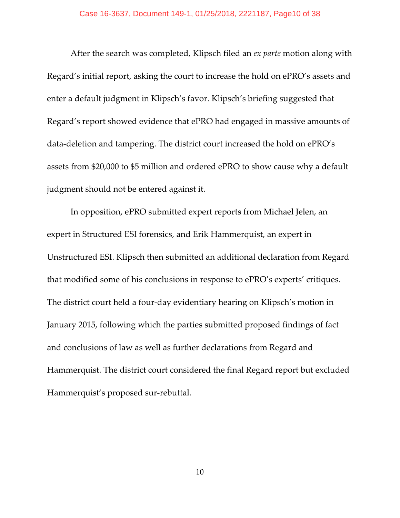After the search was completed, Klipsch filed an *ex parte* motion along with Regard's initial report, asking the court to increase the hold on ePRO's assets and enter a default judgment in Klipsch's favor. Klipsch's briefing suggested that Regard's report showed evidence that ePRO had engaged in massive amounts of data-deletion and tampering. The district court increased the hold on ePRO's assets from \$20,000 to \$5 million and ordered ePRO to show cause why a default judgment should not be entered against it.

In opposition, ePRO submitted expert reports from Michael Jelen, an expert in Structured ESI forensics, and Erik Hammerquist, an expert in Unstructured ESI. Klipsch then submitted an additional declaration from Regard that modified some of his conclusions in response to ePRO's experts' critiques. The district court held a four-day evidentiary hearing on Klipsch's motion in January 2015, following which the parties submitted proposed findings of fact and conclusions of law as well as further declarations from Regard and Hammerquist. The district court considered the final Regard report but excluded Hammerquist's proposed sur-rebuttal.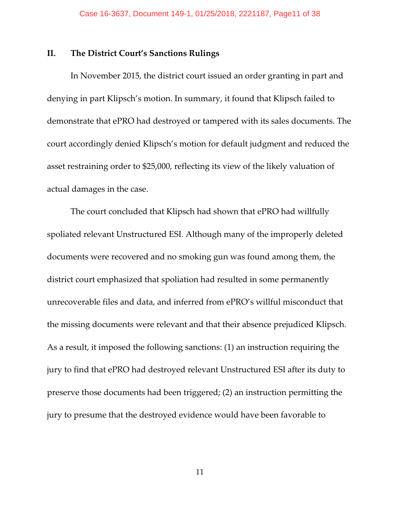### **II. The District Court's Sanctions Rulings**

In November 2015, the district court issued an order granting in part and denying in part Klipsch's motion. In summary, it found that Klipsch failed to demonstrate that ePRO had destroyed or tampered with its sales documents. The court accordingly denied Klipsch's motion for default judgment and reduced the asset restraining order to \$25,000, reflecting its view of the likely valuation of actual damages in the case.

The court concluded that Klipsch had shown that ePRO had willfully spoliated relevant Unstructured ESI. Although many of the improperly deleted documents were recovered and no smoking gun was found among them, the district court emphasized that spoliation had resulted in some permanently unrecoverable files and data, and inferred from ePRO's willful misconduct that the missing documents were relevant and that their absence prejudiced Klipsch. As a result, it imposed the following sanctions: (1) an instruction requiring the jury to find that ePRO had destroyed relevant Unstructured ESI after its duty to preserve those documents had been triggered; (2) an instruction permitting the jury to presume that the destroyed evidence would have been favorable to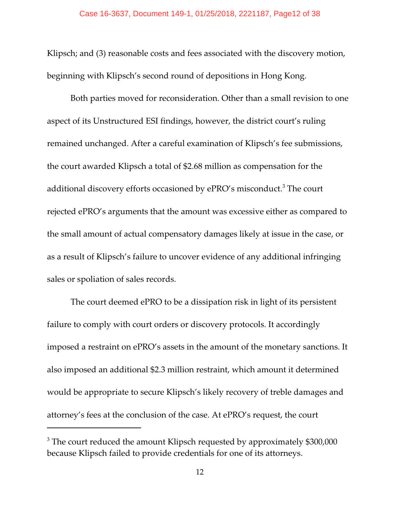Klipsch; and (3) reasonable costs and fees associated with the discovery motion, beginning with Klipsch's second round of depositions in Hong Kong.

Both parties moved for reconsideration. Other than a small revision to one aspect of its Unstructured ESI findings, however, the district court's ruling remained unchanged. After a careful examination of Klipsch's fee submissions, the court awarded Klipsch a total of \$2.68 million as compensation for the additional discovery efforts occasioned by ePRO's misconduct.<sup>3</sup> The court rejected ePRO's arguments that the amount was excessive either as compared to the small amount of actual compensatory damages likely at issue in the case, or as a result of Klipsch's failure to uncover evidence of any additional infringing sales or spoliation of sales records.

The court deemed ePRO to be a dissipation risk in light of its persistent failure to comply with court orders or discovery protocols. It accordingly imposed a restraint on ePRO's assets in the amount of the monetary sanctions. It also imposed an additional \$2.3 million restraint, which amount it determined would be appropriate to secure Klipsch's likely recovery of treble damages and attorney's fees at the conclusion of the case. At ePRO's request, the court

 $3$  The court reduced the amount Klipsch requested by approximately \$300,000 because Klipsch failed to provide credentials for one of its attorneys.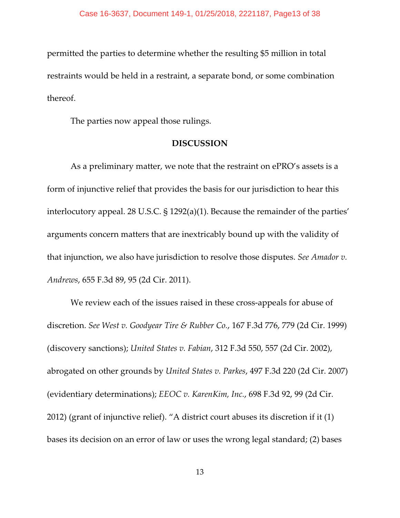permitted the parties to determine whether the resulting \$5 million in total restraints would be held in a restraint, a separate bond, or some combination thereof.

The parties now appeal those rulings.

#### **DISCUSSION**

As a preliminary matter, we note that the restraint on ePRO's assets is a form of injunctive relief that provides the basis for our jurisdiction to hear this interlocutory appeal. 28 U.S.C. § 1292(a)(1). Because the remainder of the parties' arguments concern matters that are inextricably bound up with the validity of that injunction, we also have jurisdiction to resolve those disputes. *See Amador v. Andrews*, 655 F.3d 89, 95 (2d Cir. 2011).

We review each of the issues raised in these cross-appeals for abuse of discretion. *See West v. Goodyear Tire & Rubber Co.*, 167 F.3d 776, 779 (2d Cir. 1999) (discovery sanctions); *United States v. Fabian*, 312 F.3d 550, 557 (2d Cir. 2002), abrogated on other grounds by *United States v. Parkes*, 497 F.3d 220 (2d Cir. 2007) (evidentiary determinations); *EEOC v. KarenKim, Inc.*, 698 F.3d 92, 99 (2d Cir. 2012) (grant of injunctive relief). "A district court abuses its discretion if it (1) bases its decision on an error of law or uses the wrong legal standard; (2) bases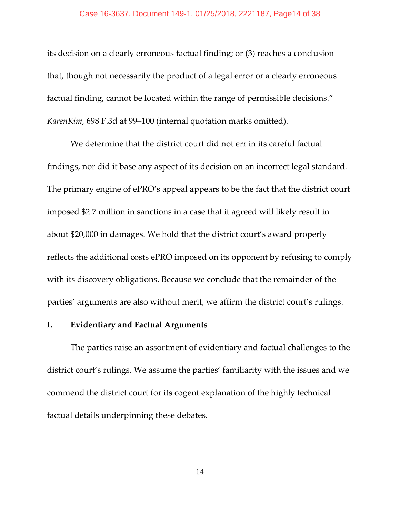#### Case 16-3637, Document 149-1, 01/25/2018, 2221187, Page14 of 38

its decision on a clearly erroneous factual finding; or (3) reaches a conclusion that, though not necessarily the product of a legal error or a clearly erroneous factual finding, cannot be located within the range of permissible decisions." *KarenKim*, 698 F.3d at 99–100 (internal quotation marks omitted).

We determine that the district court did not err in its careful factual findings, nor did it base any aspect of its decision on an incorrect legal standard. The primary engine of ePRO's appeal appears to be the fact that the district court imposed \$2.7 million in sanctions in a case that it agreed will likely result in about \$20,000 in damages. We hold that the district court's award properly reflects the additional costs ePRO imposed on its opponent by refusing to comply with its discovery obligations. Because we conclude that the remainder of the parties' arguments are also without merit, we affirm the district court's rulings.

### **I. Evidentiary and Factual Arguments**

The parties raise an assortment of evidentiary and factual challenges to the district court's rulings. We assume the parties' familiarity with the issues and we commend the district court for its cogent explanation of the highly technical factual details underpinning these debates.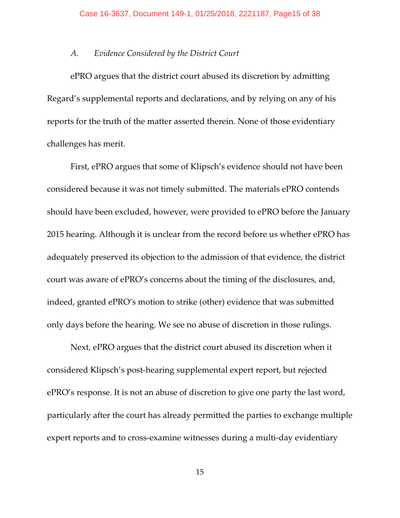### *A. Evidence Considered by the District Court*

ePRO argues that the district court abused its discretion by admitting Regard's supplemental reports and declarations, and by relying on any of his reports for the truth of the matter asserted therein. None of those evidentiary challenges has merit.

First, ePRO argues that some of Klipsch's evidence should not have been considered because it was not timely submitted. The materials ePRO contends should have been excluded, however, were provided to ePRO before the January 2015 hearing. Although it is unclear from the record before us whether ePRO has adequately preserved its objection to the admission of that evidence, the district court was aware of ePRO's concerns about the timing of the disclosures, and, indeed, granted ePRO's motion to strike (other) evidence that was submitted only days before the hearing. We see no abuse of discretion in those rulings.

Next, ePRO argues that the district court abused its discretion when it considered Klipsch's post-hearing supplemental expert report, but rejected ePRO's response. It is not an abuse of discretion to give one party the last word, particularly after the court has already permitted the parties to exchange multiple expert reports and to cross-examine witnesses during a multi-day evidentiary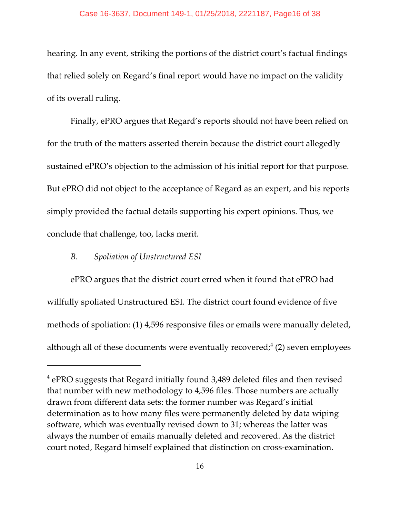hearing. In any event, striking the portions of the district court's factual findings that relied solely on Regard's final report would have no impact on the validity of its overall ruling.

Finally, ePRO argues that Regard's reports should not have been relied on for the truth of the matters asserted therein because the district court allegedly sustained ePRO's objection to the admission of his initial report for that purpose. But ePRO did not object to the acceptance of Regard as an expert, and his reports simply provided the factual details supporting his expert opinions. Thus, we conclude that challenge, too, lacks merit.

### *B. Spoliation of Unstructured ESI*

ePRO argues that the district court erred when it found that ePRO had willfully spoliated Unstructured ESI. The district court found evidence of five methods of spoliation: (1) 4,596 responsive files or emails were manually deleted, although all of these documents were eventually recovered;<sup>4</sup> (2) seven employees

 $4$  ePRO suggests that Regard initially found 3,489 deleted files and then revised that number with new methodology to 4,596 files. Those numbers are actually drawn from different data sets: the former number was Regard's initial determination as to how many files were permanently deleted by data wiping software, which was eventually revised down to 31; whereas the latter was always the number of emails manually deleted and recovered. As the district court noted, Regard himself explained that distinction on cross-examination.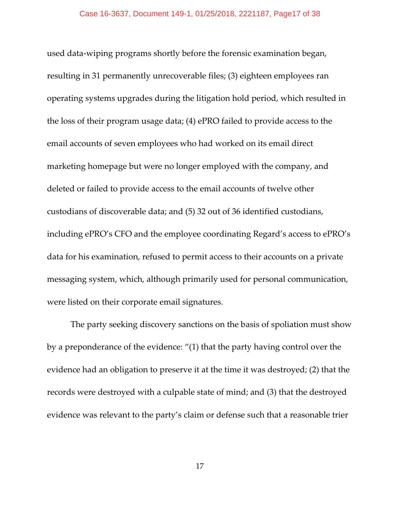used data-wiping programs shortly before the forensic examination began, resulting in 31 permanently unrecoverable files; (3) eighteen employees ran operating systems upgrades during the litigation hold period, which resulted in the loss of their program usage data; (4) ePRO failed to provide access to the email accounts of seven employees who had worked on its email direct marketing homepage but were no longer employed with the company, and deleted or failed to provide access to the email accounts of twelve other custodians of discoverable data; and (5) 32 out of 36 identified custodians, including ePRO's CFO and the employee coordinating Regard's access to ePRO's data for his examination, refused to permit access to their accounts on a private messaging system, which, although primarily used for personal communication, were listed on their corporate email signatures.

The party seeking discovery sanctions on the basis of spoliation must show by a preponderance of the evidence: "(1) that the party having control over the evidence had an obligation to preserve it at the time it was destroyed; (2) that the records were destroyed with a culpable state of mind; and (3) that the destroyed evidence was relevant to the party's claim or defense such that a reasonable trier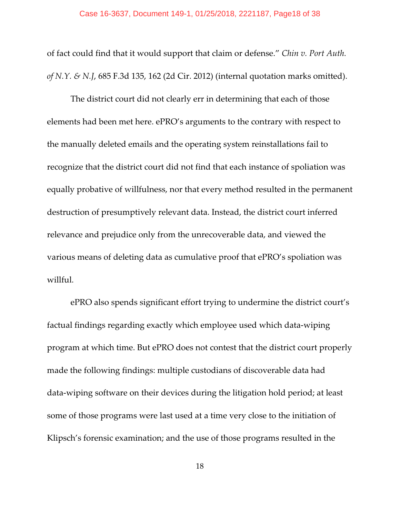of fact could find that it would support that claim or defense." *Chin v. Port Auth. of N.Y. & N.J*, 685 F.3d 135, 162 (2d Cir. 2012) (internal quotation marks omitted).

The district court did not clearly err in determining that each of those elements had been met here. ePRO's arguments to the contrary with respect to the manually deleted emails and the operating system reinstallations fail to recognize that the district court did not find that each instance of spoliation was equally probative of willfulness, nor that every method resulted in the permanent destruction of presumptively relevant data. Instead, the district court inferred relevance and prejudice only from the unrecoverable data, and viewed the various means of deleting data as cumulative proof that ePRO's spoliation was willful.

ePRO also spends significant effort trying to undermine the district court's factual findings regarding exactly which employee used which data-wiping program at which time. But ePRO does not contest that the district court properly made the following findings: multiple custodians of discoverable data had data-wiping software on their devices during the litigation hold period; at least some of those programs were last used at a time very close to the initiation of Klipsch's forensic examination; and the use of those programs resulted in the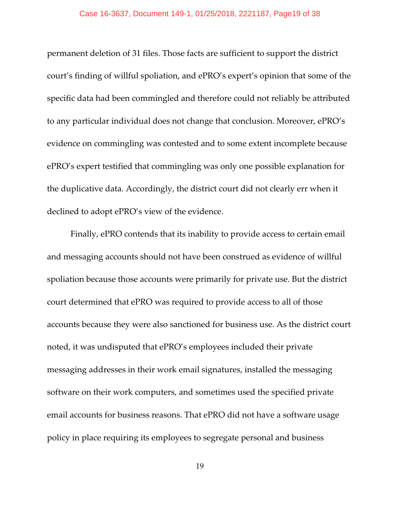permanent deletion of 31 files. Those facts are sufficient to support the district court's finding of willful spoliation, and ePRO's expert's opinion that some of the specific data had been commingled and therefore could not reliably be attributed to any particular individual does not change that conclusion. Moreover, ePRO's evidence on commingling was contested and to some extent incomplete because ePRO's expert testified that commingling was only one possible explanation for the duplicative data. Accordingly, the district court did not clearly err when it declined to adopt ePRO's view of the evidence.

Finally, ePRO contends that its inability to provide access to certain email and messaging accounts should not have been construed as evidence of willful spoliation because those accounts were primarily for private use. But the district court determined that ePRO was required to provide access to all of those accounts because they were also sanctioned for business use. As the district court noted, it was undisputed that ePRO's employees included their private messaging addresses in their work email signatures, installed the messaging software on their work computers, and sometimes used the specified private email accounts for business reasons. That ePRO did not have a software usage policy in place requiring its employees to segregate personal and business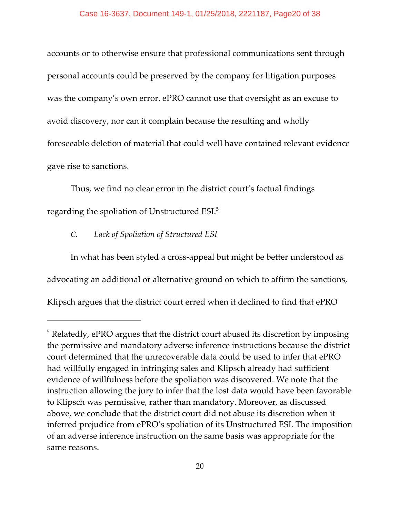accounts or to otherwise ensure that professional communications sent through personal accounts could be preserved by the company for litigation purposes was the company's own error. ePRO cannot use that oversight as an excuse to avoid discovery, nor can it complain because the resulting and wholly foreseeable deletion of material that could well have contained relevant evidence gave rise to sanctions.

Thus, we find no clear error in the district court's factual findings regarding the spoliation of Unstructured ESI.<sup>5</sup>

# *C. Lack of Spoliation of Structured ESI*

In what has been styled a cross-appeal but might be better understood as advocating an additional or alternative ground on which to affirm the sanctions, Klipsch argues that the district court erred when it declined to find that ePRO

 $3$  Relatedly, ePRO argues that the district court abused its discretion by imposing the permissive and mandatory adverse inference instructions because the district court determined that the unrecoverable data could be used to infer that ePRO had willfully engaged in infringing sales and Klipsch already had sufficient evidence of willfulness before the spoliation was discovered. We note that the instruction allowing the jury to infer that the lost data would have been favorable to Klipsch was permissive, rather than mandatory. Moreover, as discussed above, we conclude that the district court did not abuse its discretion when it inferred prejudice from ePRO's spoliation of its Unstructured ESI. The imposition of an adverse inference instruction on the same basis was appropriate for the same reasons.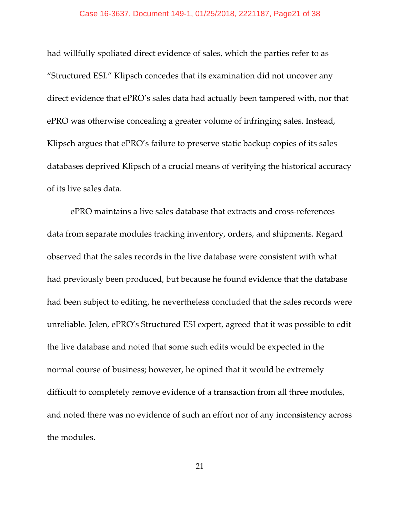had willfully spoliated direct evidence of sales, which the parties refer to as "Structured ESI." Klipsch concedes that its examination did not uncover any direct evidence that ePRO's sales data had actually been tampered with, nor that ePRO was otherwise concealing a greater volume of infringing sales. Instead, Klipsch argues that ePRO's failure to preserve static backup copies of its sales databases deprived Klipsch of a crucial means of verifying the historical accuracy of its live sales data.

ePRO maintains a live sales database that extracts and cross-references data from separate modules tracking inventory, orders, and shipments. Regard observed that the sales records in the live database were consistent with what had previously been produced, but because he found evidence that the database had been subject to editing, he nevertheless concluded that the sales records were unreliable. Jelen, ePRO's Structured ESI expert, agreed that it was possible to edit the live database and noted that some such edits would be expected in the normal course of business; however, he opined that it would be extremely difficult to completely remove evidence of a transaction from all three modules, and noted there was no evidence of such an effort nor of any inconsistency across the modules.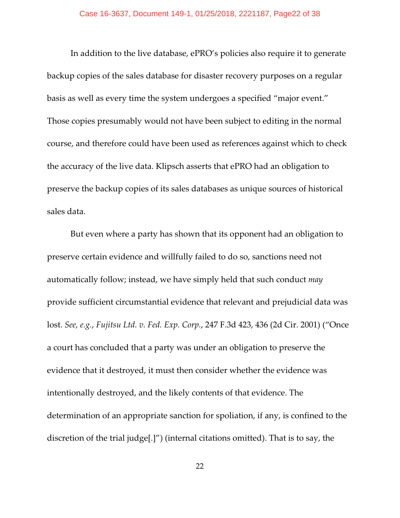In addition to the live database, ePRO's policies also require it to generate backup copies of the sales database for disaster recovery purposes on a regular basis as well as every time the system undergoes a specified "major event." Those copies presumably would not have been subject to editing in the normal course, and therefore could have been used as references against which to check the accuracy of the live data. Klipsch asserts that ePRO had an obligation to preserve the backup copies of its sales databases as unique sources of historical sales data.

But even where a party has shown that its opponent had an obligation to preserve certain evidence and willfully failed to do so, sanctions need not automatically follow; instead, we have simply held that such conduct *may* provide sufficient circumstantial evidence that relevant and prejudicial data was lost. *See, e.g.*, *Fujitsu Ltd. v. Fed. Exp. Corp.*, 247 F.3d 423, 436 (2d Cir. 2001) ("Once a court has concluded that a party was under an obligation to preserve the evidence that it destroyed, it must then consider whether the evidence was intentionally destroyed, and the likely contents of that evidence. The determination of an appropriate sanction for spoliation, if any, is confined to the discretion of the trial judge[.]") (internal citations omitted). That is to say, the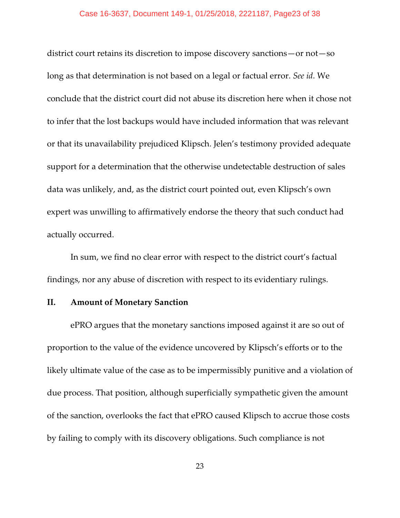district court retains its discretion to impose discovery sanctions—or not—so long as that determination is not based on a legal or factual error. *See id*. We conclude that the district court did not abuse its discretion here when it chose not to infer that the lost backups would have included information that was relevant or that its unavailability prejudiced Klipsch. Jelen's testimony provided adequate support for a determination that the otherwise undetectable destruction of sales data was unlikely, and, as the district court pointed out, even Klipsch's own expert was unwilling to affirmatively endorse the theory that such conduct had actually occurred.

In sum, we find no clear error with respect to the district court's factual findings, nor any abuse of discretion with respect to its evidentiary rulings.

# **II. Amount of Monetary Sanction**

ePRO argues that the monetary sanctions imposed against it are so out of proportion to the value of the evidence uncovered by Klipsch's efforts or to the likely ultimate value of the case as to be impermissibly punitive and a violation of due process. That position, although superficially sympathetic given the amount of the sanction, overlooks the fact that ePRO caused Klipsch to accrue those costs by failing to comply with its discovery obligations. Such compliance is not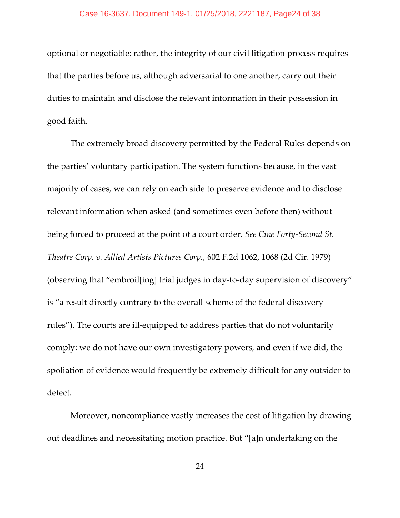optional or negotiable; rather, the integrity of our civil litigation process requires that the parties before us, although adversarial to one another, carry out their duties to maintain and disclose the relevant information in their possession in good faith.

The extremely broad discovery permitted by the Federal Rules depends on the parties' voluntary participation. The system functions because, in the vast majority of cases, we can rely on each side to preserve evidence and to disclose relevant information when asked (and sometimes even before then) without being forced to proceed at the point of a court order. *See Cine Forty-Second St. Theatre Corp. v. Allied Artists Pictures Corp.*, 602 F.2d 1062, 1068 (2d Cir. 1979) (observing that "embroil[ing] trial judges in day-to-day supervision of discovery" is "a result directly contrary to the overall scheme of the federal discovery rules"). The courts are ill-equipped to address parties that do not voluntarily comply: we do not have our own investigatory powers, and even if we did, the spoliation of evidence would frequently be extremely difficult for any outsider to detect.

Moreover, noncompliance vastly increases the cost of litigation by drawing out deadlines and necessitating motion practice. But "[a]n undertaking on the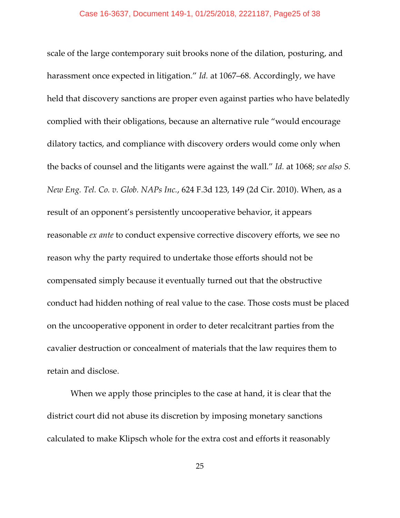scale of the large contemporary suit brooks none of the dilation, posturing, and harassment once expected in litigation." *Id.* at 1067–68. Accordingly, we have held that discovery sanctions are proper even against parties who have belatedly complied with their obligations, because an alternative rule "would encourage dilatory tactics, and compliance with discovery orders would come only when the backs of counsel and the litigants were against the wall." *Id.* at 1068; *see also S. New Eng. Tel. Co. v. Glob. NAPs Inc.*, 624 F.3d 123, 149 (2d Cir. 2010). When, as a result of an opponent's persistently uncooperative behavior, it appears reasonable *ex ante* to conduct expensive corrective discovery efforts, we see no reason why the party required to undertake those efforts should not be compensated simply because it eventually turned out that the obstructive conduct had hidden nothing of real value to the case. Those costs must be placed on the uncooperative opponent in order to deter recalcitrant parties from the cavalier destruction or concealment of materials that the law requires them to retain and disclose.

When we apply those principles to the case at hand, it is clear that the district court did not abuse its discretion by imposing monetary sanctions calculated to make Klipsch whole for the extra cost and efforts it reasonably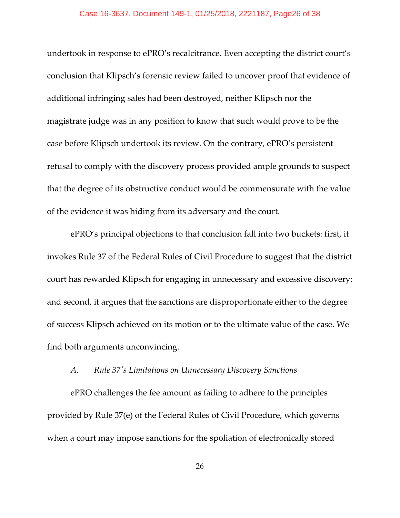undertook in response to ePRO's recalcitrance. Even accepting the district court's conclusion that Klipsch's forensic review failed to uncover proof that evidence of additional infringing sales had been destroyed, neither Klipsch nor the magistrate judge was in any position to know that such would prove to be the case before Klipsch undertook its review. On the contrary, ePRO's persistent refusal to comply with the discovery process provided ample grounds to suspect that the degree of its obstructive conduct would be commensurate with the value of the evidence it was hiding from its adversary and the court.

ePRO's principal objections to that conclusion fall into two buckets: first, it invokes Rule 37 of the Federal Rules of Civil Procedure to suggest that the district court has rewarded Klipsch for engaging in unnecessary and excessive discovery; and second, it argues that the sanctions are disproportionate either to the degree of success Klipsch achieved on its motion or to the ultimate value of the case. We find both arguments unconvincing.

### *A. Rule 37's Limitations on Unnecessary Discovery Sanctions*

ePRO challenges the fee amount as failing to adhere to the principles provided by Rule 37(e) of the Federal Rules of Civil Procedure, which governs when a court may impose sanctions for the spoliation of electronically stored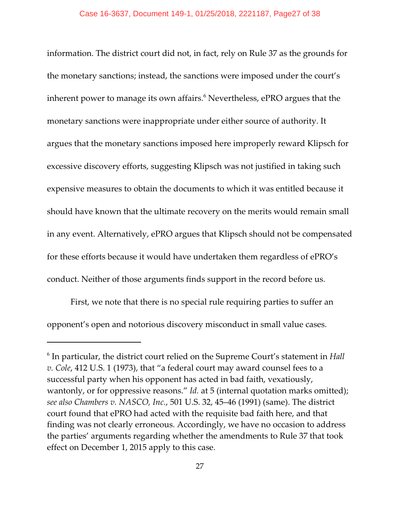information. The district court did not, in fact, rely on Rule 37 as the grounds for the monetary sanctions; instead, the sanctions were imposed under the court's inherent power to manage its own affairs.<sup>6</sup> Nevertheless, ePRO argues that the monetary sanctions were inappropriate under either source of authority. It argues that the monetary sanctions imposed here improperly reward Klipsch for excessive discovery efforts, suggesting Klipsch was not justified in taking such expensive measures to obtain the documents to which it was entitled because it should have known that the ultimate recovery on the merits would remain small in any event. Alternatively, ePRO argues that Klipsch should not be compensated for these efforts because it would have undertaken them regardless of ePRO's conduct. Neither of those arguments finds support in the record before us.

First, we note that there is no special rule requiring parties to suffer an opponent's open and notorious discovery misconduct in small value cases.

<sup>&</sup>lt;sup>6</sup> In particular, the district court relied on the Supreme Court's statement in *Hall v. Cole*, 412 U.S. 1 (1973), that "a federal court may award counsel fees to a successful party when his opponent has acted in bad faith, vexatiously, wantonly, or for oppressive reasons." *Id.* at 5 (internal quotation marks omitted); *see also Chambers v. NASCO, Inc.*, 501 U.S. 32, 45–46 (1991) (same). The district court found that ePRO had acted with the requisite bad faith here, and that finding was not clearly erroneous. Accordingly, we have no occasion to address the parties' arguments regarding whether the amendments to Rule 37 that took effect on December 1, 2015 apply to this case.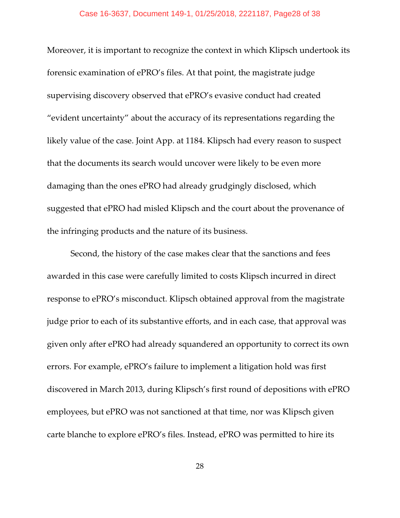Moreover, it is important to recognize the context in which Klipsch undertook its forensic examination of ePRO's files. At that point, the magistrate judge supervising discovery observed that ePRO's evasive conduct had created "evident uncertainty" about the accuracy of its representations regarding the likely value of the case. Joint App. at 1184. Klipsch had every reason to suspect that the documents its search would uncover were likely to be even more damaging than the ones ePRO had already grudgingly disclosed, which suggested that ePRO had misled Klipsch and the court about the provenance of the infringing products and the nature of its business.

Second, the history of the case makes clear that the sanctions and fees awarded in this case were carefully limited to costs Klipsch incurred in direct response to ePRO's misconduct. Klipsch obtained approval from the magistrate judge prior to each of its substantive efforts, and in each case, that approval was given only after ePRO had already squandered an opportunity to correct its own errors. For example, ePRO's failure to implement a litigation hold was first discovered in March 2013, during Klipsch's first round of depositions with ePRO employees, but ePRO was not sanctioned at that time, nor was Klipsch given carte blanche to explore ePRO's files. Instead, ePRO was permitted to hire its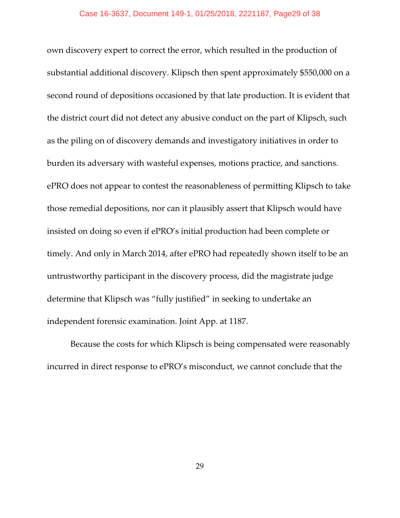own discovery expert to correct the error, which resulted in the production of substantial additional discovery. Klipsch then spent approximately \$550,000 on a second round of depositions occasioned by that late production. It is evident that the district court did not detect any abusive conduct on the part of Klipsch, such as the piling on of discovery demands and investigatory initiatives in order to burden its adversary with wasteful expenses, motions practice, and sanctions. ePRO does not appear to contest the reasonableness of permitting Klipsch to take those remedial depositions, nor can it plausibly assert that Klipsch would have insisted on doing so even if ePRO's initial production had been complete or timely. And only in March 2014, after ePRO had repeatedly shown itself to be an untrustworthy participant in the discovery process, did the magistrate judge determine that Klipsch was "fully justified" in seeking to undertake an independent forensic examination. Joint App. at 1187.

Because the costs for which Klipsch is being compensated were reasonably incurred in direct response to ePRO's misconduct, we cannot conclude that the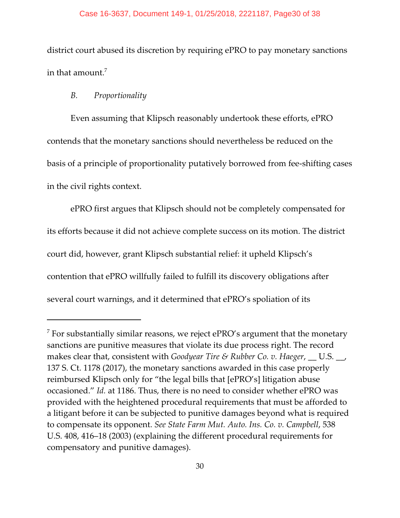#### Case 16-3637, Document 149-1, 01/25/2018, 2221187, Page30 of 38

district court abused its discretion by requiring ePRO to pay monetary sanctions in that amount.<sup>7</sup>

# *B. Proportionality*

Even assuming that Klipsch reasonably undertook these efforts, ePRO contends that the monetary sanctions should nevertheless be reduced on the basis of a principle of proportionality putatively borrowed from fee-shifting cases in the civil rights context.

ePRO first argues that Klipsch should not be completely compensated for its efforts because it did not achieve complete success on its motion. The district court did, however, grant Klipsch substantial relief: it upheld Klipsch's contention that ePRO willfully failed to fulfill its discovery obligations after several court warnings, and it determined that ePRO's spoliation of its

 $\frac{7}{7}$  For substantially similar reasons, we reject ePRO's argument that the monetary sanctions are punitive measures that violate its due process right. The record makes clear that, consistent with *Goodyear Tire & Rubber Co. v. Haeger*, \_\_ U.S. \_\_, 137 S. Ct. 1178 (2017), the monetary sanctions awarded in this case properly reimbursed Klipsch only for "the legal bills that [ePRO's] litigation abuse occasioned." *Id.* at 1186. Thus, there is no need to consider whether ePRO was provided with the heightened procedural requirements that must be afforded to a litigant before it can be subjected to punitive damages beyond what is required to compensate its opponent. *See State Farm Mut. Auto. Ins. Co. v. Campbell*, 538 U.S. 408, 416–18 (2003) (explaining the different procedural requirements for compensatory and punitive damages).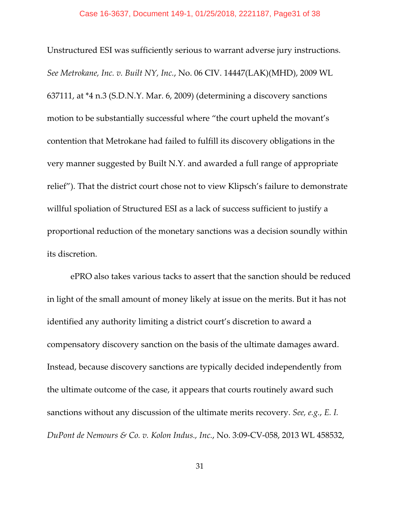Unstructured ESI was sufficiently serious to warrant adverse jury instructions. *See Metrokane, Inc. v. Built NY, Inc.*, No. 06 CIV. 14447(LAK)(MHD), 2009 WL 637111, at \*4 n.3 (S.D.N.Y. Mar. 6, 2009) (determining a discovery sanctions motion to be substantially successful where "the court upheld the movant's contention that Metrokane had failed to fulfill its discovery obligations in the very manner suggested by Built N.Y. and awarded a full range of appropriate relief"). That the district court chose not to view Klipsch's failure to demonstrate willful spoliation of Structured ESI as a lack of success sufficient to justify a proportional reduction of the monetary sanctions was a decision soundly within its discretion.

ePRO also takes various tacks to assert that the sanction should be reduced in light of the small amount of money likely at issue on the merits. But it has not identified any authority limiting a district court's discretion to award a compensatory discovery sanction on the basis of the ultimate damages award. Instead, because discovery sanctions are typically decided independently from the ultimate outcome of the case, it appears that courts routinely award such sanctions without any discussion of the ultimate merits recovery. *See, e.g.*, *E. I. DuPont de Nemours & Co. v. Kolon Indus., Inc.*, No. 3:09-CV-058, 2013 WL 458532,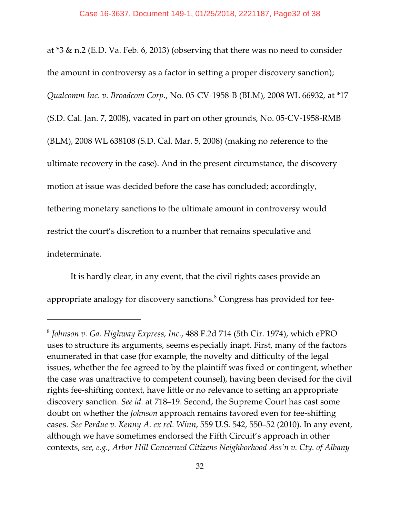at \*3 & n.2 (E.D. Va. Feb. 6, 2013) (observing that there was no need to consider the amount in controversy as a factor in setting a proper discovery sanction); *Qualcomm Inc. v. Broadcom Corp.*, No. 05-CV-1958-B (BLM), 2008 WL 66932, at \*17 (S.D. Cal. Jan. 7, 2008), vacated in part on other grounds, No. 05-CV-1958-RMB (BLM), 2008 WL 638108 (S.D. Cal. Mar. 5, 2008) (making no reference to the ultimate recovery in the case). And in the present circumstance, the discovery motion at issue was decided before the case has concluded; accordingly, tethering monetary sanctions to the ultimate amount in controversy would restrict the court's discretion to a number that remains speculative and indeterminate.

It is hardly clear, in any event, that the civil rights cases provide an appropriate analogy for discovery sanctions.<sup>8</sup> Congress has provided for fee-

*Johnson v. Ga. Highway Express, Inc.*, 488 F.2d 714 (5th Cir. 1974), which ePRO <sup>8</sup> uses to structure its arguments, seems especially inapt. First, many of the factors enumerated in that case (for example, the novelty and difficulty of the legal issues, whether the fee agreed to by the plaintiff was fixed or contingent, whether the case was unattractive to competent counsel), having been devised for the civil rights fee-shifting context, have little or no relevance to setting an appropriate discovery sanction. *See id.* at 718–19. Second, the Supreme Court has cast some doubt on whether the *Johnson* approach remains favored even for fee-shifting cases. *See Perdue v. Kenny A. ex rel. Winn*, 559 U.S. 542, 550–52 (2010). In any event, although we have sometimes endorsed the Fifth Circuit's approach in other contexts, *see, e.g.*, *Arbor Hill Concerned Citizens Neighborhood Ass'n v. Cty. of Albany*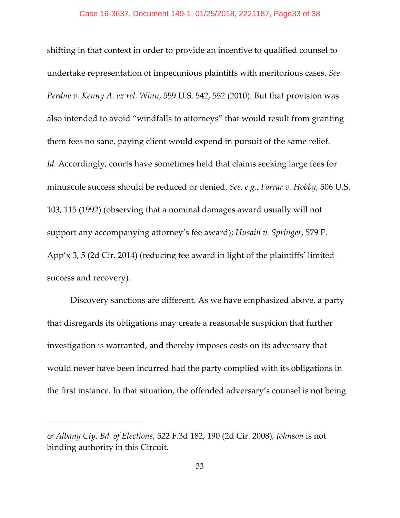shifting in that context in order to provide an incentive to qualified counsel to undertake representation of impecunious plaintiffs with meritorious cases. *See Perdue v. Kenny A. ex rel. Winn*, 559 U.S. 542, 552 (2010). But that provision was also intended to avoid "windfalls to attorneys" that would result from granting them fees no sane, paying client would expend in pursuit of the same relief. *Id.* Accordingly, courts have sometimes held that claims seeking large fees for minuscule success should be reduced or denied. *See, e.g.*, *Farrar v. Hobby*, 506 U.S. 103, 115 (1992) (observing that a nominal damages award usually will not support any accompanying attorney's fee award); *Husain v. Springer*, 579 F. App'x 3, 5 (2d Cir. 2014) (reducing fee award in light of the plaintiffs' limited success and recovery).

Discovery sanctions are different. As we have emphasized above, a party that disregards its obligations may create a reasonable suspicion that further investigation is warranted, and thereby imposes costs on its adversary that would never have been incurred had the party complied with its obligations in the first instance. In that situation, the offended adversary's counsel is not being

*<sup>&</sup>amp; Albany Cty. Bd. of Elections*, 522 F.3d 182, 190 (2d Cir. 2008)*, Johnson* is not binding authority in this Circuit.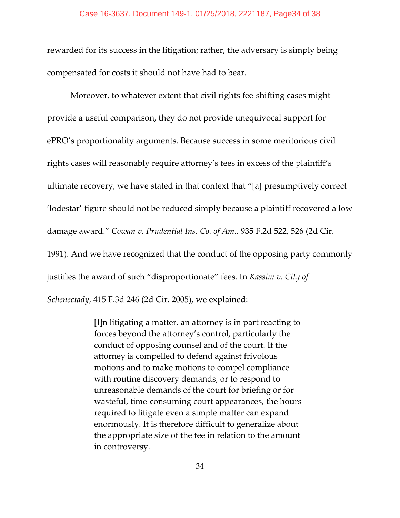rewarded for its success in the litigation; rather, the adversary is simply being compensated for costs it should not have had to bear.

Moreover, to whatever extent that civil rights fee-shifting cases might provide a useful comparison, they do not provide unequivocal support for ePRO's proportionality arguments. Because success in some meritorious civil rights cases will reasonably require attorney's fees in excess of the plaintiff's ultimate recovery, we have stated in that context that "[a] presumptively correct 'lodestar' figure should not be reduced simply because a plaintiff recovered a low damage award." *Cowan v. Prudential Ins. Co. of Am.*, 935 F.2d 522, 526 (2d Cir. 1991). And we have recognized that the conduct of the opposing party commonly justifies the award of such "disproportionate" fees. In *Kassim v. City of Schenectady*, 415 F.3d 246 (2d Cir. 2005), we explained:

> [I]n litigating a matter, an attorney is in part reacting to forces beyond the attorney's control, particularly the conduct of opposing counsel and of the court. If the attorney is compelled to defend against frivolous motions and to make motions to compel compliance with routine discovery demands, or to respond to unreasonable demands of the court for briefing or for wasteful, time-consuming court appearances, the hours required to litigate even a simple matter can expand enormously. It is therefore difficult to generalize about the appropriate size of the fee in relation to the amount in controversy.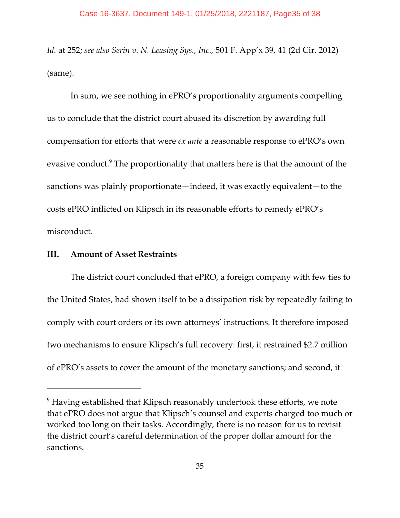*Id.* at 252; *see also Serin v. N. Leasing Sys., Inc.,* 501 F. App'x 39, 41 (2d Cir. 2012) (same).

In sum, we see nothing in ePRO's proportionality arguments compelling us to conclude that the district court abused its discretion by awarding full compensation for efforts that were *ex ante* a reasonable response to ePRO's own evasive conduct.<sup>9</sup> The proportionality that matters here is that the amount of the sanctions was plainly proportionate—indeed, it was exactly equivalent—to the costs ePRO inflicted on Klipsch in its reasonable efforts to remedy ePRO's misconduct.

### **III. Amount of Asset Restraints**

The district court concluded that ePRO, a foreign company with few ties to the United States, had shown itself to be a dissipation risk by repeatedly failing to comply with court orders or its own attorneys' instructions. It therefore imposed two mechanisms to ensure Klipsch's full recovery: first, it restrained \$2.7 million of ePRO's assets to cover the amount of the monetary sanctions; and second, it

 $9$  Having established that Klipsch reasonably undertook these efforts, we note that ePRO does not argue that Klipsch's counsel and experts charged too much or worked too long on their tasks. Accordingly, there is no reason for us to revisit the district court's careful determination of the proper dollar amount for the sanctions.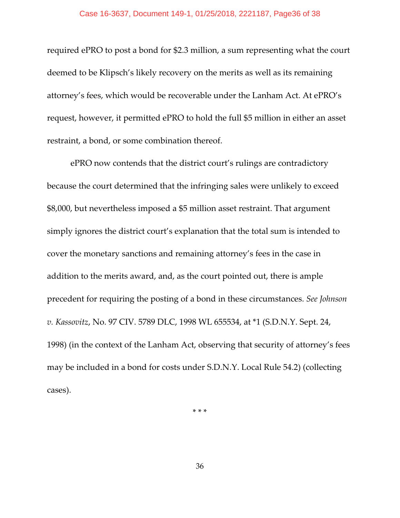required ePRO to post a bond for \$2.3 million, a sum representing what the court deemed to be Klipsch's likely recovery on the merits as well as its remaining attorney's fees, which would be recoverable under the Lanham Act. At ePRO's request, however, it permitted ePRO to hold the full \$5 million in either an asset restraint, a bond, or some combination thereof.

ePRO now contends that the district court's rulings are contradictory because the court determined that the infringing sales were unlikely to exceed \$8,000, but nevertheless imposed a \$5 million asset restraint. That argument simply ignores the district court's explanation that the total sum is intended to cover the monetary sanctions and remaining attorney's fees in the case in addition to the merits award, and, as the court pointed out, there is ample precedent for requiring the posting of a bond in these circumstances. *See Johnson v. Kassovitz*, No. 97 CIV. 5789 DLC, 1998 WL 655534, at \*1 (S.D.N.Y. Sept. 24, 1998) (in the context of the Lanham Act, observing that security of attorney's fees may be included in a bond for costs under S.D.N.Y. Local Rule 54.2) (collecting cases).

\* \* \*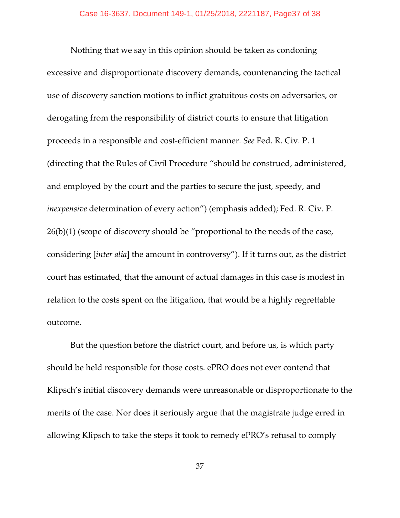Nothing that we say in this opinion should be taken as condoning excessive and disproportionate discovery demands, countenancing the tactical use of discovery sanction motions to inflict gratuitous costs on adversaries, or derogating from the responsibility of district courts to ensure that litigation proceeds in a responsible and cost-efficient manner. *See* Fed. R. Civ. P. 1 (directing that the Rules of Civil Procedure "should be construed, administered, and employed by the court and the parties to secure the just, speedy, and *inexpensive* determination of every action") (emphasis added); Fed. R. Civ. P. 26(b)(1) (scope of discovery should be "proportional to the needs of the case, considering [*inter alia*] the amount in controversy"). If it turns out, as the district court has estimated, that the amount of actual damages in this case is modest in relation to the costs spent on the litigation, that would be a highly regrettable outcome.

But the question before the district court, and before us, is which party should be held responsible for those costs. ePRO does not ever contend that Klipsch's initial discovery demands were unreasonable or disproportionate to the merits of the case. Nor does it seriously argue that the magistrate judge erred in allowing Klipsch to take the steps it took to remedy ePRO's refusal to comply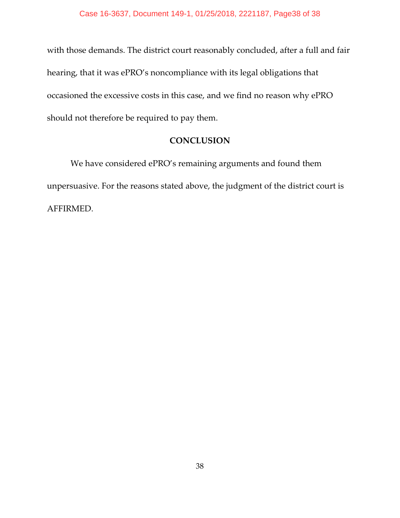with those demands. The district court reasonably concluded, after a full and fair hearing, that it was ePRO's noncompliance with its legal obligations that occasioned the excessive costs in this case, and we find no reason why ePRO should not therefore be required to pay them.

# **CONCLUSION**

We have considered ePRO's remaining arguments and found them unpersuasive. For the reasons stated above, the judgment of the district court is AFFIRMED.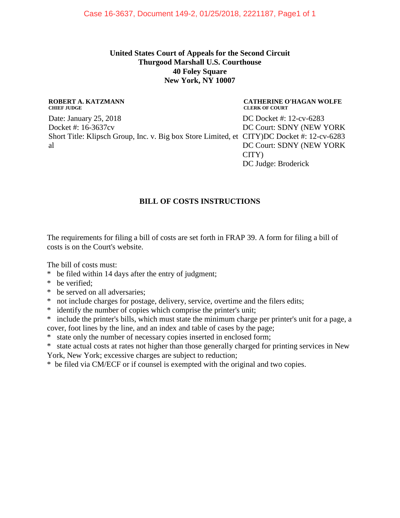### **United States Court of Appeals for the Second Circuit Thurgood Marshall U.S. Courthouse 40 Foley Square New York, NY 10007**

#### **ROBERT A. KATZMANN CHIEF JUDGE**

Date: January 25, 2018 Docket #: 16-3637cv Short Title: Klipsch Group, Inc. v. Big box Store Limited, et CITY)DC Docket #: 12-cv-6283 al

#### **CATHERINE O'HAGAN WOLFE CLERK OF COURT**

DC Docket #: 12-cv-6283 DC Court: SDNY (NEW YORK DC Court: SDNY (NEW YORK CITY) DC Judge: Broderick

# **BILL OF COSTS INSTRUCTIONS**

The requirements for filing a bill of costs are set forth in FRAP 39. A form for filing a bill of costs is on the Court's website.

The bill of costs must:

- \* be filed within 14 days after the entry of judgment;
- \* be verified;
- \* be served on all adversaries;
- \* not include charges for postage, delivery, service, overtime and the filers edits;
- \* identify the number of copies which comprise the printer's unit;

\* include the printer's bills, which must state the minimum charge per printer's unit for a page, a cover, foot lines by the line, and an index and table of cases by the page;

- \* state only the number of necessary copies inserted in enclosed form;
- \* state actual costs at rates not higher than those generally charged for printing services in New York, New York; excessive charges are subject to reduction;

\* be filed via CM/ECF or if counsel is exempted with the original and two copies.